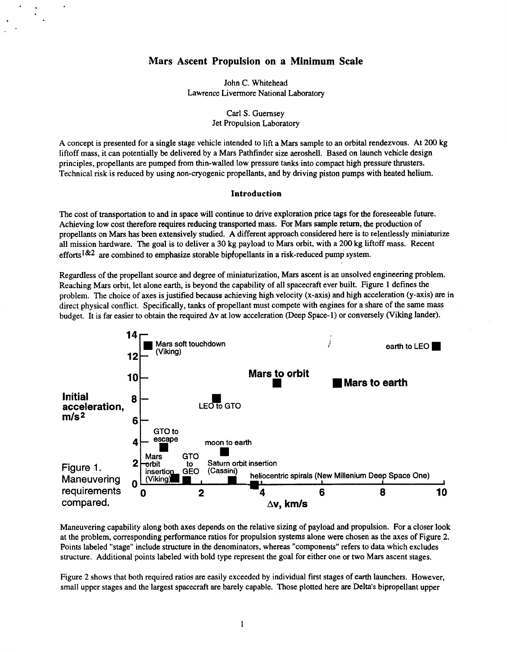# **Mars Ascent Propulsion on a Minimum Scale**

John C. Whitehead Lawrence Livermore National Laboratory

> Carl **S.** Guernsey Jet Propulsion Laboratory

A concept is presented for a single stage vehicle intended to lift a Mars sample to an orbital rendezvous. At 200 kg liftoff mass, it can potentially be delivered by **a** Mars Pathfinder size aeroshell. Based on launch vehicle design principles, propellants are pumped from thin-walled low pressure tanks into compact high pressure thrusters. Technical risk is reduced by using non-cryogenic propellants, and by driving piston pumps with heated helium.

#### **Introduction**

The cost of transportation to and in space will continue to drive exploration price tags for the foreseeable future. Achieving low cost therefore requires reducing transported mass. For Mars sample return, the production of propellants on Mars has been extensively studied. A different approach considered here is to relentlessly miniaturize all mission hardware. The goal is to deliver a *30* kg payload to Mars orbit, with a 200 kg liftoff **mass.** Recent efforts<sup>1&2</sup> are combined to emphasize storable bipropellants in a risk-reduced pump system.

Regardless of the propellant source and degree of miniaturization, Mars ascent is an unsolved engineering problem. Reaching Mars orbit, let alone earth, is beyond the capability of all spacecraft ever built. Figure 1 defines the problem. The choice of axes is justified because achieving high velocity **(x-axis)** and high acceleration (y-axis) are in direct physical conflict. Specifically, tanks of propellant must compete with engines for a share of the same mass budget. It is far easier to obtain the required  $\Delta v$  at low acceleration (Deep Space-1) or conversely (Viking lander).



Maneuvering capability along both axes depends on the relative sizing of payload and propulsion. For a closer look at the problem, corresponding performance ratios for propulsion systems alone were chosen as the axes of [Figure](#page-1-0) **2.**  Points labeled "stage" include structure in the denominators, whereas "components" refers to data which excludes structure. Additional points labeled with bold type represent the goal for either one **or** two Mars ascent stages.

[Figure 2](#page-1-0) shows that both required ratios are easily exceeded by individual first stages **of** earth launchers. However, small upper stages and the largest spacecraft are barely capable. Those plotted here are Delta's bipropellant upper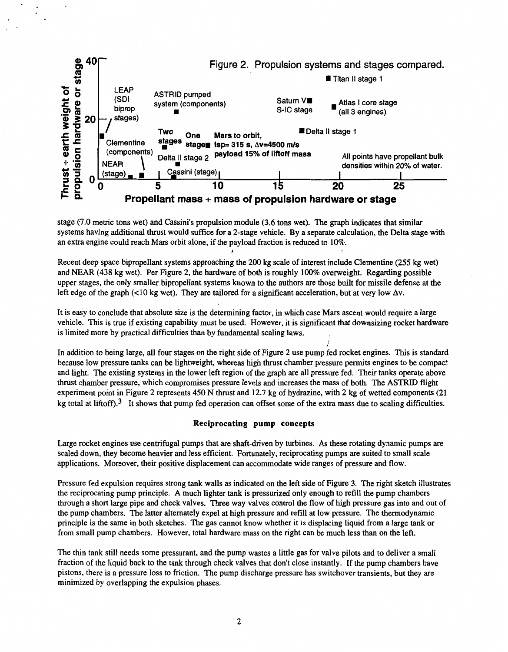<span id="page-1-0"></span>

stage **t7.0** metric tons wet) and Cassini's propulsion module **(3.6** tons wet). The graph indicates that similar systems having additional thrust would suffrce for a 2-stage vehicle. By a separate calculation, the Delta stage with an extra engine could reach Mars orbit alone, if the payload fraction is reduced to 10%.

Recent deep space bipropellant systems approaching the 200 kg scale of interest include Clementine (255 kg wet) and NEAR **(438** kg wet). Per Figure 2, the hardware of both is roughly 100% overweight. Regarding possible upper stages, the only smaller bipropellant systems known to the authors are those built for missile defense at the left edge of the graph (<10 kg wet). They are tailored for a significant acceleration, but at very low  $\Delta v$ .

It is easy to conclude that absolute size is the determining factor, in which case Mars ascent would require a large vehicle. This is true if existing capability must be used. However, it is significant that downsizing rocket hardware **is** limited more by practical difficulties than by fundamental scaling laws.

In addition to being large, all four stages on the right side of Figure 2 use pump fed rocket engines. This is standard because low pressure tanks can be lightweight, whereas high thrust chamber pressure permits engines to be compact and light. The existing systems in the lower left region of the graph are all pressure fed. Their tanks operate above thrust chamber pressure, which compromises pressure levels and increases the mass of both. The **ASTRID** flight experiment point in Figure 2 represents **450** N thrust and 12.7 kg of hydrazine, with 2 kg of wetted components (21 kg total at liftoff).<sup>3</sup> It shows that pump fed operation can offset some of the extra mass due to scaling difficulties. *i* 

#### **Reciprocating pump concepts**

Large rocket engines use centrifugal pumps that are shaft-driven by turbines. **As** these rotating dynamic pumps are scaled down, they become heavier and less efficient. Fortunately, reciprocating pumps are suited to small scale applications. Moreover, their positive displacement can accommodate wide ranges of pressure and flow.

Pressure fed expulsion requires strong tank walls as indicated on the left side of [Figure](#page-2-0) **3.** The right sketch illustrates the reciprocating pump principle. **A** much lighter tank is pressurized only enough to refill the pump chambers through a short large pipe and check valves. Three way valves control the flow of high pressure gas into and out of the pump chambers. The latter alternately expel at high pressure and refill at low pressure. The thermodynamic principle is the same in both sketches. The gas cannot know whether it is displacing liquid from a large tank or from small pump chambers. However, total hardware mass on the right can be much less than on the left.

The thin tank still needs some pressurant, and the pump wastes a little gas for valve pilots and to deliver a small fraction of the liquid back to the tank through check valves that don't close instantly. If the pump chambers have pistons, there is a pressure **loss** to friction. The pump discharge pressure has switchover transients, but they are minimized by overlapping the expulsion phases.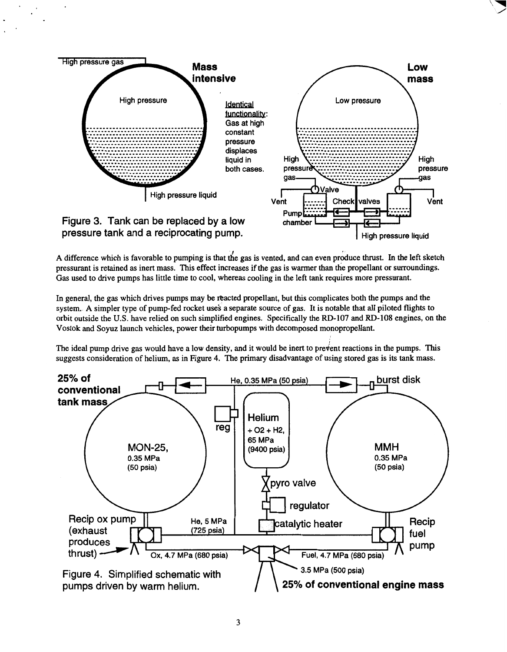<span id="page-2-0"></span>

A difference which is favorable to pumping is that the gas is vented, and can even produce thrust. In the left sketch pressurant is retained as inert mass. This effect increases if the gas **is** warmer than the propellant or surroundings. Gas used to drive pumps has little time to cool, whereas cooling in the left tank requires more pressurant.

In general, the gas which drives pumps may be reacted propellant, but this complicates both the pumps and the system. A simpler type of pump-fed rocket uses a separate source of gas. It is notable that all piloted flights to orbit outside the **U.S.** have relied on such simplified engines. Specifically the **RD-107** and **RD-108** engines, on the Vostok and **Soyuz** launch vehicles, power their turbopumps with decomposed monopropellant.

The ideal pump drive gas would have a low density, and it would be inert to prevent reactions in the pumps. This suggests consideration of helium, as in Figure **4.** The primary disadvantage of using stored gas is its tank mass.

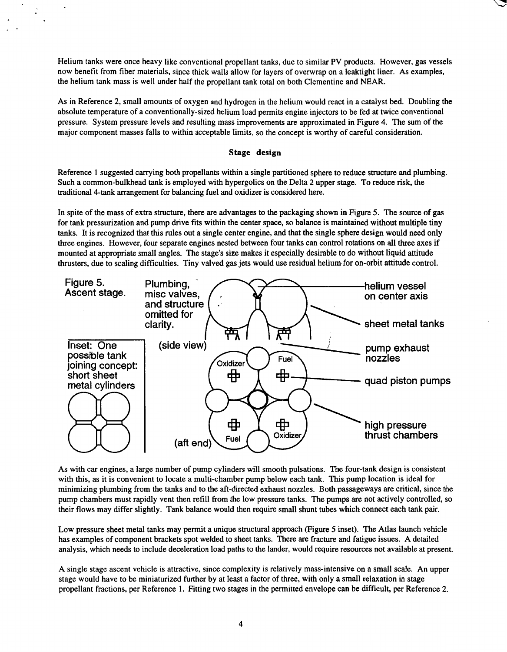Helium tanks were once heavy like conventional propellant tanks, due to similar **PV** products. However, gas vessels now benefit from fiber materials, since thick walls allow for layers of overwrap on a leaktight liner. As examples, the helium tank mass is well under half the propellant tank total on both Clementine and NEAR.

As in Reference **2,** small amounts of oxygen and hydrogen in the helium would react in a catalyst bed. Doubling the absolute temperature of a conventionally-sized helium load permits engine injectors to be fed at twice conventional pressure. System pressure levels and resulting mass improvements are approximated in [Figure 4.](#page-2-0) The sum of the major component masses falls to within acceptable limits, so the concept **is** worthy of careful consideration.

# **Stage design**

Reference **1** suggested carrying both propellants within a single partitioned sphere to reduce structure and plumbing. Such a common-bulkhead tank is employed with hypergolics on the Delta **2** upper stage. **To** reduce risk, the traditional 4-tank arrangement for balancing fuel and oxidizer is considered here.

In spite of the mass of extra structure, there are advantages to the packaging shown in Figure **5.** The source of gas for tank pressurization and pump drive fits within the center space, *so* balance is maintained without multiple tiny tanks. It is recognized that this rules out a single center engine, and that the single sphere design would need only three engines. However, four separate engines nested between four tanks can control rotations on all three axes if mounted at appropriate small angles. The stage's size makes it especially desirable **to** do without liquid attitude thrusters, due to scaling difficulties. Tiny valved gas jets would use residual helium for on-orbit attitude control.



As with car engines, a large number of pump cylinders will smooth pulsations. The four-tank design is consistent with this, as it is convenient to locate a multi-chamber pump below each tank. This pump location is ideal for minimizing plumbing from the tanks and to the aft-directed exhaust nozzles. Both passageways are critical, since the pump chambers must rapidly vent then refill from the low pressure tanks. The pumps are not actively controlled, so their flows may differ slightly. Tank balance would then require small shunt tubes which connect each tank pair.

Low pressure sheet metal tanks may permit a unique structural approach (Figure **5** inset). The Atlas launch vehicle has examples of component brackets spot welded to sheet tanks. There are fracture and fatigue issues. A detailed analysis, which needs to include deceleration load paths to the lander, would require resources not available at present.

**A** single stage ascent vehicle is attractive, since complexity is relatively mass-intensive on a small scale. An upper stage would have to be miniaturized further by at least a factor of three, with only a small relaxation in stage propellant fractions, per Reference **1.** Fitting two stages in the permitted envelope can be difficult, per Reference **2.**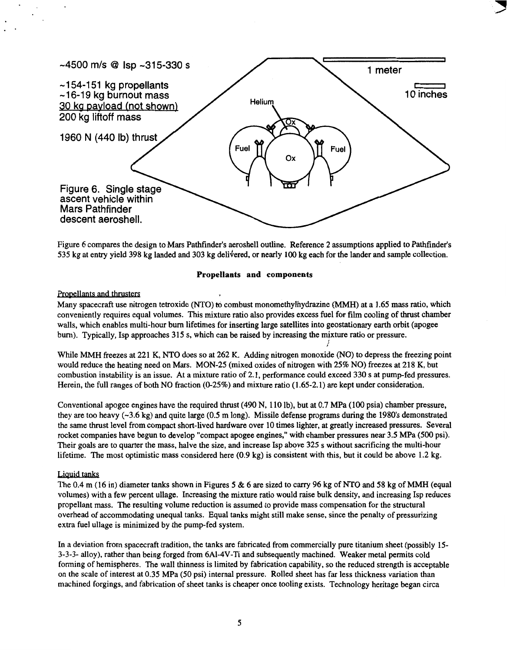

Figure **6** compares the design to Mars Pathfinder's aeroshell outline. Reference **2** assumptions applied to Pathfinder's 535 kg at entry yield 398 kg landed and 303 kg delivered, or nearly 100 kg each for the lander and sample collection.

Many spacecraft use nitrogen tetroxide (NTO) to combust monomethylhydrazine **(MMH)** at a 1.65 mass ratio, which conveniently requires equal volumes. This mixture ratio also provides excess fuel for film cooling of thrust chamber walls, which enables multi-hour burn lifetimes for inserting large satellites into geostationary earth orbit (apogee burn). Typically, Isp approaches **315 s,** which can be raised by increasing the mixture ratio or pressure. *i* 

While MMH freezes at **221** K, NTO does so at **262** K. Adding nitrogen monoxide (NO) to depress the freezing point would reduce the heating need on Mars. **MON-25** (mixed oxides of nitrogen with **25%** NO) freezes at **218 K,** but combustion instability is an issue. At a mixture ratio of **2.1,** performance could exceed **330 s** at pump-fed pressures. Herein, the full ranges of both NO fraction **(0-25%)** and mixture ratio **(1.65-2.1)** are kept under consideration.

Conventional apogee engines have the required thrust (490 N, **110** lb), but at *0.7* MPa **(100** psia) chamber pressure, they are too heavy  $(-3.6 \text{ kg})$  and quite large (0.5 m long). Missile defense programs during the 1980's demonstrated the same thrust level from compact short-lived hardware over **10** times lighter, at greatly increased pressures. Several rocket companies have begun to develop "compact apogee engines," with chamber pressures near **3.5** MPa **(500** psi). Their goals are to quarter the mass, halve the size, and increase Isp above **325 s** without sacrificing the multi-hour lifetime. The most optimistic mass considered here (0.9 kg) is consistent with this, but it could be above **1.2** kg.

# Liquid tanks

The 0.4 m **(16** in) diameter tanks shown in Figures **5** & **6** are sized to carry 96 kg of **NTO** and 58 kg of MMH (equal volumes) with a few percent ullage. Increasing the mixture ratio would raise bulk density, and increasing Isp reduces propellant mass. The resulting volume reduction is assumed to provide mass compensation for the structural overhead of accommodating unequal tanks. Equal tanks might still make sense, since the penalty of pressurizing extra fuel ullage is minimized by the pump-fed system.

In **a** deviation from spacecraft tradition, the tanks are fabricated from commercially pure titanium sheet (possibly **15- 3-3-3-** alloy), rather than being forged from 6A1-4V-Ti and subsequently machined. Weaker metal permits cold forming of hemispheres. The wall thinness is limited by fabrication capability, so the reduced strength is acceptable on the scale of interest at **0.35** MPa *(50* psi) internal pressure. Rolled sheet has far less thickness variation than machined forgings, and fabrication of sheet tanks is cheaper once tooling exists. Technology heritage began circa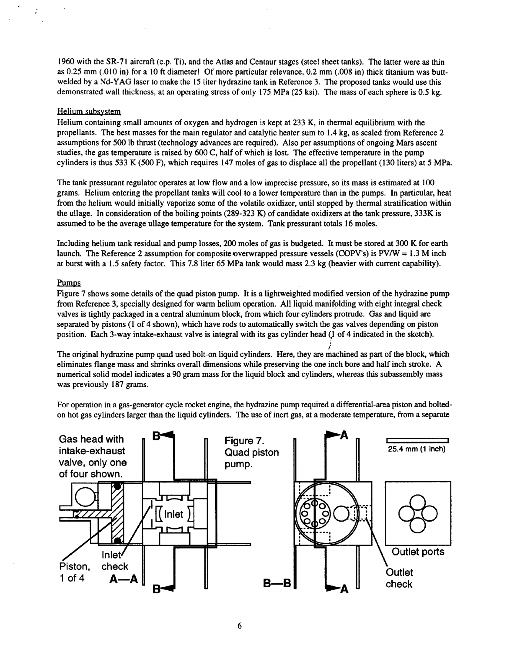1960 with the SR-71 aircraft (c.p. Ti), and the Atlas and Centaur stages (steel sheet tanks). The latter were as thin as **0.25** mm (.010 in) for a **10** ft diameter! Of more particular relevance, **0.2** mm (.008 in) thick titanium was buttwelded by a Nd-YAG laser to make the 15 liter hydrazine tank in Reference **3.** The proposed tanks would use this demonstrated wall thickness, at an operating stress of only 175 MPa **(25** ksi). The mass of each sphere is **0.5** kg.

# Helium subsystem

Helium containing small amounts of oxygen and hydrogen is kept at **233 K,** in thermal equilibrium with the propellants. The best masses for the main regulator and catalytic heater sum to 1.4 kg, as scaled from Reference **2**  assumptions for 500 Ib thrust (technology advances are required). Also per assumptions of ongoing Mars ascent studies, the gas temperature is raised by 600 **C,** half **of** which is lost. The effective temperature in the pump cylinders is thus **533 K** (500 F), which requires 147 moles of gas to displace all the propellant **(130** liters) at **5** MPa.

The tank pressurant regulator operates at low flow and a low imprecise pressure, so its mass is estimated at **<sup>100</sup>** grams. Helium entering the propellant tanks will cool to a lower temperature than in the pumps. In particular, heat from the helium would initially vaporize some of the volatile oxidizer, until stopped by thermal stratification within the ullage. In consideration of the boiling points **(289-323 K) of** candidate oxidizers at the tank pressure, **333K is**  assumed to be the average ullage temperature for the system. Tank pressurant totals **16** moles.

Including helium tank residual and pump losses, **200** moles of gas is budgeted. It must be stored at *300* **K for** earth launch. The Reference **2** assumption for compositeoverwrapped pressure vessels (COPV's) is PV/W = **1.3** M inch at burst with a 1.5 safety factor. This 7.8 liter *65* MPa tank would mass **2.3** kg (heavier with current capability).

# **Pumps**

Figure 7 shows some details of the quad piston pump. It is a lightweighted modified version of the hydrazine pump from Reference **3,** specially designed for warm helium operation. All liquid manifolding with eight integral check valves is tightly packaged in a central aluminum block, from which four cylinders protrude. Gas and liquid are separated by pistons **(1** of 4 shown), which have rods to automatically switch the gas valves depending on piston position. Each 3-way intake-exhaust valve is integral with its gas cylinder head (1 of 4 indicated in the sketch).

The original hydrazine pump quad used bolt-on liquid cylinders. Here, they are machined as part of the block, which eliminates flange mass and shrinks overall dimensions while preserving the one inch bore and half inch stroke. **A**  numerical solid model indicates **a** 90 gram mass for the liquid block and cylinders, whereas this subassembly mass was previously **187** grams. *i* 

For operation in a gas-generator cycle rocket engine, the hydrazine pump required a differential-area piston and boltedon hot gas cylinders larger than the liquid cylinders. The use of inert gas, at a moderate temperature, from a separate

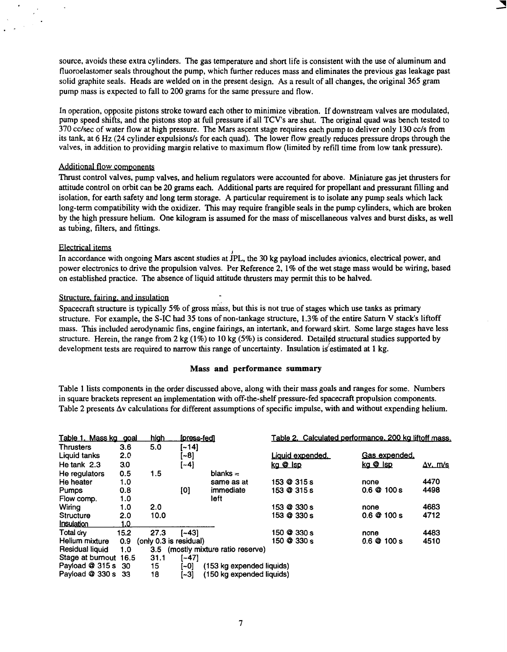source, avoids these extra cylinders. The gas temperature and short life is consistent with the use of aluminum and fluoroelastomer seals throughout the pump, which further reduces mass and eliminates the previous gas leakage past solid graphite seals. Heads are welded on in the present design. **As** a result of all changes, the original 365 gram pump mass is expected to fall to **200** grams for the same pressure and flow.

In operation, opposite pistons stroke toward each other to minimize vibration. If downstream valves are modulated, pump speed shifts, and the pistons stop at full pressure if all TCVs are shut. The original quad was bench tested to 370 cc/sec of water flow at high pressure. The Mars ascent stage requires each pump to deliver only 130 cc/s from its tank, at 6 Hz (24 cylinder expulsions/s for each quad). The lower flow greatly reduces pressure drops through the valves, in addition to providing margin relative to maximum flow (limited by refill time from low tank pressure).

# Additional flow components

Thrust control valves, pump valves, and helium regulators were accounted for above. Miniature gas jet thrusters for attitude control on orbit can be **20** grams each. Additional parts are required for propellant and pressurant filling and isolation, for earth safety and long term storage. **A** particular requirement is to isolate any pump seals which lack long-term compatibility with the oxidizer. This may require frangible seals in the pump cylinders, which are broken by the high pressure helium. One kilogram is assumed for the mass of miscellaneous valves and burst disks, as well as tubing, filters, and fittings.

# Electrical items

In accordance with ongoing Mars ascent studies at *IPL*, the 30 kg payload includes avionics, electrical power, and power electronics to drive the propulsion valves. Per Reference **2,** 1 % of the wet stage mass would be wiring, based on established practice. The absence of liquid attitude thrusters may permit this to be halved.

# Structure. fairing. and insulation

Spacecraft structure is typically 5% of gross mass, but this is not true of stages which use tanks as primary structure. For example, the S-IC had 35 tons of non-tankage structure, 1.3% of the entire Saturn V stack's liftoff mass. This included aerodynamic fins, engine fairings, an intertank, and forward **skirt.** Some large stages have less structure. Herein, the range from **2** kg (1%) to 10 kg (5%) is considered. Detailed structural studies supported by development tests are required to narrow this range of uncertainty. Insulation is estimated at  $1 \text{ kg}$ .

#### **Mass and performance summary**

Table **1** lists components in the order discussed above, along with their mass goals and ranges for some. Numbers in square brackets represent an implementation with off-the-shelf pressure-fed spacecraft propulsion components. Table **2** presents Av calculations for different assumptions of specific impulse, with and without expending helium.

| Table 1. Mass kg goal |      | hiah                   | [press-fed] |                                |             | Table 2. Calculated performance, 200 kg liftoff mass. |                    |                  |
|-----------------------|------|------------------------|-------------|--------------------------------|-------------|-------------------------------------------------------|--------------------|------------------|
| Thrusters             | 3.6  | 5.0                    | [~14]       |                                |             |                                                       |                    |                  |
| Liquid tanks          | 2.0  |                        | $[-8]$      |                                |             | <u>Liauid expended.</u>                               | Gas expended,      |                  |
| He tank 2.3           | 3.0  |                        | $[-4]$      |                                | ka @ Isp    |                                                       | kg @ Isp           | $\Delta v$ , m/s |
| He regulators         | 0.5  | 1.5                    |             | blanks $=$                     |             |                                                       |                    |                  |
| He heater             | 1.0  |                        |             | same as at                     | 153 @ 315 s |                                                       | none               | 4470             |
| <b>Pumps</b>          | 0.8  |                        | [0]         | immediate                      | 153 @ 315 s |                                                       | $0.6 \& 100 s$     | 4498             |
| Flow comp.            | 1.0  |                        |             | left                           |             |                                                       |                    |                  |
| Wiring                | 1.0  | 2.0                    |             |                                | 153 @ 330 s |                                                       | none               | 4683             |
| <b>Structure</b>      | 2.0  | 10.0                   |             |                                | 153 @ 330 s |                                                       | $0.6 \& 100 s$     | 4712             |
| Insulation            | 1.0  |                        |             |                                |             |                                                       |                    |                  |
| Total drv             | 15.2 | 27.3                   | í~431       |                                | 150 @ 330 s |                                                       | none               | 4483             |
| Helium mixture        | 0.9  | (only 0.3 is residual) |             |                                | 150 @ 330 s |                                                       | $0.6 \oplus 100 s$ | 4510             |
| Residual liquid       | 1.0  | 3.5                    |             | (mostly mixture ratio reserve) |             |                                                       |                    |                  |
| Stage at burnout 16.5 |      | 31.1                   | [~47]       |                                |             |                                                       |                    |                  |
| Payload @ 315 s 30    |      | 15                     | [~0]        | (153 kg expended liquids)      |             |                                                       |                    |                  |
| Payload @ 330 s 33    |      | 18                     | $[-3]$      | (150 kg expended liquids)      |             |                                                       |                    |                  |